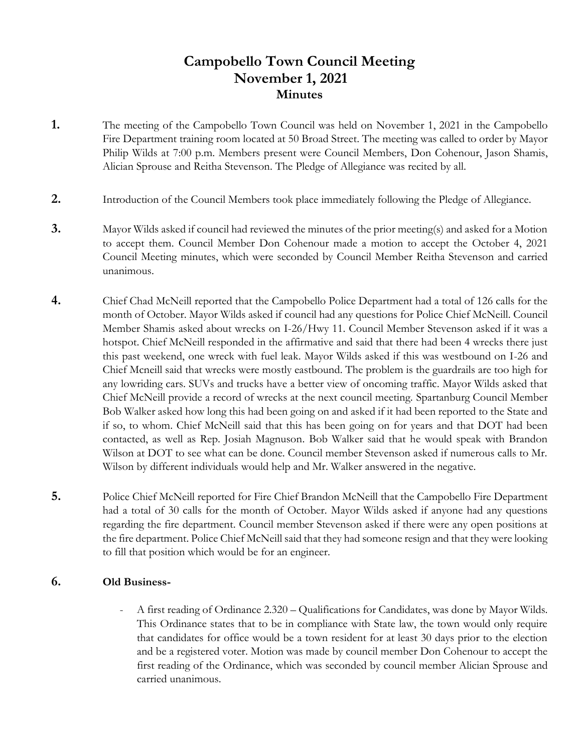# **Campobello Town Council Meeting November 1, 2021 Minutes**

- **1.** The meeting of the Campobello Town Council was held on November 1, 2021 in the Campobello Fire Department training room located at 50 Broad Street. The meeting was called to order by Mayor Philip Wilds at 7:00 p.m. Members present were Council Members, Don Cohenour, Jason Shamis, Alician Sprouse and Reitha Stevenson. The Pledge of Allegiance was recited by all.
- **2.** Introduction of the Council Members took place immediately following the Pledge of Allegiance.
- **3.** Mayor Wilds asked if council had reviewed the minutes of the prior meeting(s) and asked for a Motion to accept them. Council Member Don Cohenour made a motion to accept the October 4, 2021 Council Meeting minutes, which were seconded by Council Member Reitha Stevenson and carried unanimous.
- **4.** Chief Chad McNeill reported that the Campobello Police Department had a total of 126 calls for the month of October. Mayor Wilds asked if council had any questions for Police Chief McNeill. Council Member Shamis asked about wrecks on I-26/Hwy 11. Council Member Stevenson asked if it was a hotspot. Chief McNeill responded in the affirmative and said that there had been 4 wrecks there just this past weekend, one wreck with fuel leak. Mayor Wilds asked if this was westbound on I-26 and Chief Mcneill said that wrecks were mostly eastbound. The problem is the guardrails are too high for any lowriding cars. SUVs and trucks have a better view of oncoming traffic. Mayor Wilds asked that Chief McNeill provide a record of wrecks at the next council meeting. Spartanburg Council Member Bob Walker asked how long this had been going on and asked if it had been reported to the State and if so, to whom. Chief McNeill said that this has been going on for years and that DOT had been contacted, as well as Rep. Josiah Magnuson. Bob Walker said that he would speak with Brandon Wilson at DOT to see what can be done. Council member Stevenson asked if numerous calls to Mr. Wilson by different individuals would help and Mr. Walker answered in the negative.
- **5.** Police Chief McNeill reported for Fire Chief Brandon McNeill that the Campobello Fire Department had a total of 30 calls for the month of October. Mayor Wilds asked if anyone had any questions regarding the fire department. Council member Stevenson asked if there were any open positions at the fire department. Police Chief McNeill said that they had someone resign and that they were looking to fill that position which would be for an engineer.

### **6. Old Business-**

- A first reading of Ordinance 2.320 – Qualifications for Candidates, was done by Mayor Wilds. This Ordinance states that to be in compliance with State law, the town would only require that candidates for office would be a town resident for at least 30 days prior to the election and be a registered voter. Motion was made by council member Don Cohenour to accept the first reading of the Ordinance, which was seconded by council member Alician Sprouse and carried unanimous.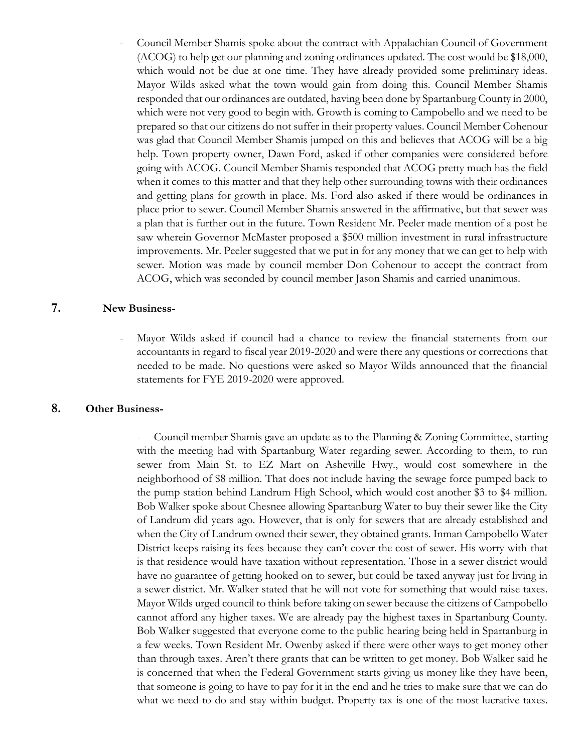- Council Member Shamis spoke about the contract with Appalachian Council of Government (ACOG) to help get our planning and zoning ordinances updated. The cost would be \$18,000, which would not be due at one time. They have already provided some preliminary ideas. Mayor Wilds asked what the town would gain from doing this. Council Member Shamis responded that our ordinances are outdated, having been done by Spartanburg County in 2000, which were not very good to begin with. Growth is coming to Campobello and we need to be prepared so that our citizens do not suffer in their property values. Council Member Cohenour was glad that Council Member Shamis jumped on this and believes that ACOG will be a big help. Town property owner, Dawn Ford, asked if other companies were considered before going with ACOG. Council Member Shamis responded that ACOG pretty much has the field when it comes to this matter and that they help other surrounding towns with their ordinances and getting plans for growth in place. Ms. Ford also asked if there would be ordinances in place prior to sewer. Council Member Shamis answered in the affirmative, but that sewer was a plan that is further out in the future. Town Resident Mr. Peeler made mention of a post he saw wherein Governor McMaster proposed a \$500 million investment in rural infrastructure improvements. Mr. Peeler suggested that we put in for any money that we can get to help with sewer. Motion was made by council member Don Cohenour to accept the contract from ACOG, which was seconded by council member Jason Shamis and carried unanimous.

#### **7. New Business-**

- Mayor Wilds asked if council had a chance to review the financial statements from our accountants in regard to fiscal year 2019-2020 and were there any questions or corrections that needed to be made. No questions were asked so Mayor Wilds announced that the financial statements for FYE 2019-2020 were approved.

#### **8. Other Business-**

Council member Shamis gave an update as to the Planning & Zoning Committee, starting with the meeting had with Spartanburg Water regarding sewer. According to them, to run sewer from Main St. to EZ Mart on Asheville Hwy., would cost somewhere in the neighborhood of \$8 million. That does not include having the sewage force pumped back to the pump station behind Landrum High School, which would cost another \$3 to \$4 million. Bob Walker spoke about Chesnee allowing Spartanburg Water to buy their sewer like the City of Landrum did years ago. However, that is only for sewers that are already established and when the City of Landrum owned their sewer, they obtained grants. Inman Campobello Water District keeps raising its fees because they can't cover the cost of sewer. His worry with that is that residence would have taxation without representation. Those in a sewer district would have no guarantee of getting hooked on to sewer, but could be taxed anyway just for living in a sewer district. Mr. Walker stated that he will not vote for something that would raise taxes. Mayor Wilds urged council to think before taking on sewer because the citizens of Campobello cannot afford any higher taxes. We are already pay the highest taxes in Spartanburg County. Bob Walker suggested that everyone come to the public hearing being held in Spartanburg in a few weeks. Town Resident Mr. Owenby asked if there were other ways to get money other than through taxes. Aren't there grants that can be written to get money. Bob Walker said he is concerned that when the Federal Government starts giving us money like they have been, that someone is going to have to pay for it in the end and he tries to make sure that we can do what we need to do and stay within budget. Property tax is one of the most lucrative taxes.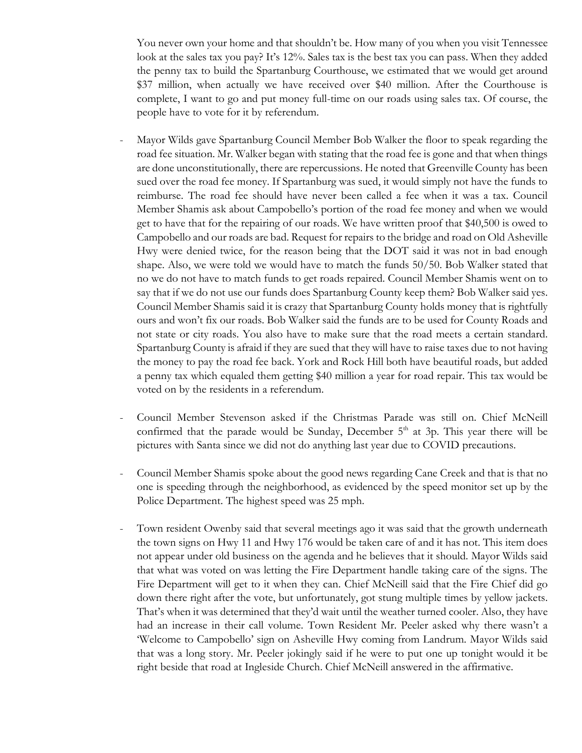You never own your home and that shouldn't be. How many of you when you visit Tennessee look at the sales tax you pay? It's 12%. Sales tax is the best tax you can pass. When they added the penny tax to build the Spartanburg Courthouse, we estimated that we would get around \$37 million, when actually we have received over \$40 million. After the Courthouse is complete, I want to go and put money full-time on our roads using sales tax. Of course, the people have to vote for it by referendum.

- Mayor Wilds gave Spartanburg Council Member Bob Walker the floor to speak regarding the road fee situation. Mr. Walker began with stating that the road fee is gone and that when things are done unconstitutionally, there are repercussions. He noted that Greenville County has been sued over the road fee money. If Spartanburg was sued, it would simply not have the funds to reimburse. The road fee should have never been called a fee when it was a tax. Council Member Shamis ask about Campobello's portion of the road fee money and when we would get to have that for the repairing of our roads. We have written proof that \$40,500 is owed to Campobello and our roads are bad. Request for repairs to the bridge and road on Old Asheville Hwy were denied twice, for the reason being that the DOT said it was not in bad enough shape. Also, we were told we would have to match the funds 50/50. Bob Walker stated that no we do not have to match funds to get roads repaired. Council Member Shamis went on to say that if we do not use our funds does Spartanburg County keep them? Bob Walker said yes. Council Member Shamis said it is crazy that Spartanburg County holds money that is rightfully ours and won't fix our roads. Bob Walker said the funds are to be used for County Roads and not state or city roads. You also have to make sure that the road meets a certain standard. Spartanburg County is afraid if they are sued that they will have to raise taxes due to not having the money to pay the road fee back. York and Rock Hill both have beautiful roads, but added a penny tax which equaled them getting \$40 million a year for road repair. This tax would be voted on by the residents in a referendum.
- Council Member Stevenson asked if the Christmas Parade was still on. Chief McNeill confirmed that the parade would be Sunday, December  $5<sup>th</sup>$  at 3p. This year there will be pictures with Santa since we did not do anything last year due to COVID precautions.
- Council Member Shamis spoke about the good news regarding Cane Creek and that is that no one is speeding through the neighborhood, as evidenced by the speed monitor set up by the Police Department. The highest speed was 25 mph.
- Town resident Owenby said that several meetings ago it was said that the growth underneath the town signs on Hwy 11 and Hwy 176 would be taken care of and it has not. This item does not appear under old business on the agenda and he believes that it should. Mayor Wilds said that what was voted on was letting the Fire Department handle taking care of the signs. The Fire Department will get to it when they can. Chief McNeill said that the Fire Chief did go down there right after the vote, but unfortunately, got stung multiple times by yellow jackets. That's when it was determined that they'd wait until the weather turned cooler. Also, they have had an increase in their call volume. Town Resident Mr. Peeler asked why there wasn't a 'Welcome to Campobello' sign on Asheville Hwy coming from Landrum. Mayor Wilds said that was a long story. Mr. Peeler jokingly said if he were to put one up tonight would it be right beside that road at Ingleside Church. Chief McNeill answered in the affirmative.